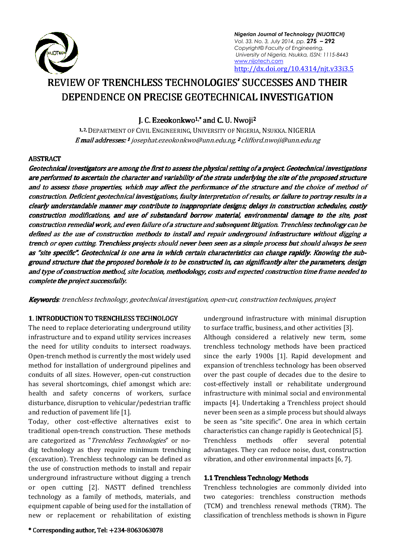

# J. C. Ezeokonkwo<sup>1,\*</sup> and C. U. Nwoji<sup>2</sup>

1,2, DEPARTMENT OF CIVIL ENGINEERING, UNIVERSITY OF NIGERIA, NSUKKA. NIGERIA **E mail addresses: 1** josephat.ezeokonkwo@unn.edu.ng, <sup>2</sup> clifford.nwoji@unn.edu.ng

#### ABSTRACT

Geotechnical investigators are among the first to assess the physical setting of a project. Geotechnical investigations are performed to ascertain the character and variability of the strata underlying the site of the proposed structure and to assess those properties, which may affect the performance of the structure and the choice of method of construction. Deficient geotechnical investigations, faulty interpretation of results, or failure to portray results in a and to assess those properties, which may affect the performance of the structure and the choice of method of<br>construction. Deficient geotechnical investigations, faulty interpretation of results, or failure to portray res construction modifications, and use of substandard borrow material, environmental damage to the site, post construction remedial work, and even failure of a structure and subsequent litigation. Trenchless technology can be defined as the use of construction methods to install and repair underground infrastructure without digging a trench or open cutting. Trenchless projects should never been seen as a simple process but should always be seen as "site specific". Geotechnical is one area in which cert ain subground structure that the proposed borehole is to be constructed in, can significantly alter the parameters, design and type of construction method, site location, methodology, costs and expected construction time frame needed to complete the project successfully. and type of construction method, site location, methodology, costs and expected construction time frame<br>complete the project successfully.<br>**Keywords**: trenchless technology, geotechnical investigation, open-cut, constructi struction methods to install and repair underground infrastructure without digging a<br>enchless projects should never been seen as a simple process but should always be seer<br>nical is one area in which certain characteristics

#### 1. INTRODUCTION TO TRENCHLESS TECHNOLOGY

The need to replace deteriorating underground utility infrastructure and to expand utility services increases the need for utility conduits to intersect roadways. Open-trench method is currently the most widely used method for installation of underground pipelines and conduits of all sizes. However, open-cut construction has several shortcomings, chief amongst which are: health and safety concerns of workers, surface disturbance, disruption to vehicular/pedestrian traffic and reduction of pavement life [1]. trench method is currently the most widely used<br>od for installation of underground pipelines and<br>its of all sizes. However, open-cut construction<br>everal shortcomings, chief amongst which are:<br>and safety concerns of worker

Today, other cost-effective alternatives exist to traditional open-trench construction. These methods are categorized as "Trenchless Technologies" or nodig technology as they require minimum trenching (excavation). Trenchless technology can be defined as the use of construction methods to install and repair underground infrastructure without digging a trench or open cutting [2]. NASTT defined trenchless technology as a family of methods, materials, and equipment capable of being used for the installation of new or replacement or rehabilitation of existing

\* Corresponding author, Tel: +234-8063063078

**TECHNOLOGY** underground infrastructure with minimal disruption<br>therground utility to surface traffic, business, and other activities [3].<br>services increases Although considered a relatively new term, some<br>thereset roadwa to surface traffic, business, and other activities [ [3]. Although considered a relatively new term, some trenchless technology methods have been practiced since the early 1900s [1]. Rapid development and expansion of trenchless technology has been observed over the past couple of decades due to the desire to cost-effectively install or rehabilitate underground infrastructure with minimal social and environmental impacts [4]. Undertaking a Trenchless project should never been seen as a simple process but should always be seen as "site specific". One area in which certain characteristics can change rapidly is Geotechnical [5]. Trenchless methods offer several potential advantages. They can reduce noise, dust, construction vibration, and other environmental impacts [6, 7]. effectively install or rehabilitate underground<br>structure with minimal social and environmental<br>icts [4]. Undertaking a Trenchless project should

#### 1.1 Trenchless Technology Methods

Trenchless technologies are commonly divided into two categories: trenchless construction methods (TCM) and trenchless renewal methods (TRM). The classification of trenchless methods is shown in F Figure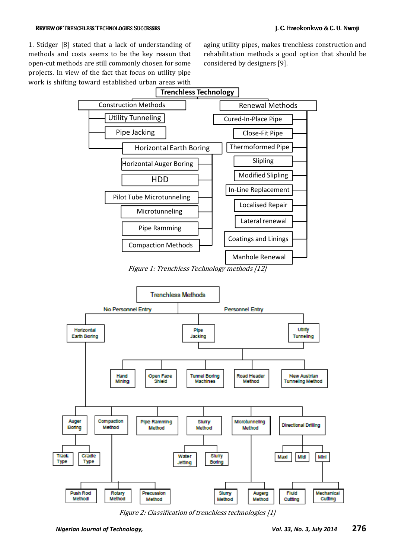1. Stidger [8] stated that a lack of understanding of methods and costs seems to be the key reason that open-cut methods are still commonly chosen for some projects. In view of the fact that focus on utility pipe work is shifting toward established urban areas with

aging utility pipes, makes trenchless construction and rehabilitation methods a good option that should be considered by designers [9].



Figure 1: Trenchless Technology methods [12]



Figure 2: Classification of trenchless technologies [1]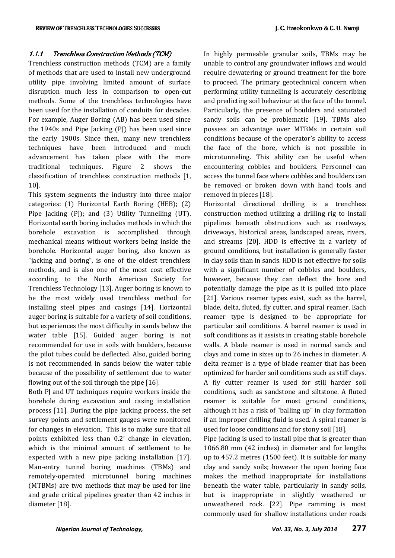# 1.1.1 Trenchless Construction Methods (TCM)

Trenchless construction methods (TCM) are a family of methods that are used to install new underground utility pipe involving limited amount of surface disruption much less in comparison to open-cut methods. Some of the trenchless technologies have been used for the installation of conduits for decades. For example, Auger Boring (AB) has been used since the 1940s and Pipe Jacking (PJ) has been used since the early 1900s. Since then, many new trenchless techniques have been introduced and much advancement has taken place with the more traditional techniques. Figure 2 shows the classification of trenchless construction methods [1, 10].

This system segments the industry into three major categories: (1) Horizontal Earth Boring (HEB); (2) Pipe Jacking (PJ); and (3) Utility Tunnelling (UT). Horizontal earth boring includes methods in which the borehole excavation is accomplished through mechanical means without workers being inside the borehole. Horizontal auger boring, also known as "jacking and boring", is one of the oldest trenchless methods, and is also one of the most cost effective according to the North American Society for Trenchless Technology [13]. Auger boring is known to be the most widely used trenchless method for installing steel pipes and casings [14]. Horizontal auger boring is suitable for a variety of soil conditions, but experiences the most difficulty in sands below the water table [15]. Guided auger boring is not recommended for use in soils with boulders, because the pilot tubes could be deflected. Also, guided boring is not recommended in sands below the water table because of the possibility of settlement due to water flowing out of the soil through the pipe [16].

Both PJ and UT techniques require workers inside the borehole during excavation and casing installation process [11]. During the pipe jacking process, the set survey points and settlement gauges were monitored for changes in elevation. This is to make sure that all points exhibited less than 0.2' change in elevation, which is the minimal amount of settlement to be expected with a new pipe jacking installation [17]. Man-entry tunnel boring machines (TBMs) and remotely-operated microtunnel boring machines (MTBMs) are two methods that may be used for line and grade critical pipelines greater than 42 inches in diameter [18].

In highly permeable granular soils, TBMs may be unable to control any groundwater inflows and would require dewatering or ground treatment for the bore to proceed. The primary geotechnical concern when performing utility tunnelling is accurately describing and predicting soil behaviour at the face of the tunnel. Particularly, the presence of boulders and saturated sandy soils can be problematic [19]. TBMs also possess an advantage over MTBMs in certain soil conditions because of the operator's ability to access the face of the bore, which is not possible in microtunneling. This ability can be useful when encountering cobbles and boulders. Personnel can access the tunnel face where cobbles and boulders can be removed or broken down with hand tools and removed in pieces [18].

Horizontal directional drilling is a trenchless construction method utilizing a drilling rig to install pipelines beneath obstructions such as roadways, driveways, historical areas, landscaped areas, rivers, and streams [20]. HDD is effective in a variety of ground conditions, but installation is generally faster in clay soils than in sands. HDD is not effective for soils with a significant number of cobbles and boulders, however, because they can deflect the bore and potentially damage the pipe as it is pulled into place [21]. Various reamer types exist, such as the barrel, blade, delta, fluted, fly cutter, and spiral reamer. Each reamer type is designed to be appropriate for particular soil conditions. A barrel reamer is used in soft conditions as it assists in creating stable borehole walls. A blade reamer is used in normal sands and clays and come in sizes up to 26 inches in diameter. A delta reamer is a type of blade reamer that has been optimized for harder soil conditions such as stiff clays. A fly cutter reamer is used for still harder soil conditions, such as sandstone and siltstone. A fluted reamer is suitable for most ground conditions, although it has a risk of "balling up" in clay formation if an improper drilling fluid is used. A spiral reamer is used for loose conditions and for stony soil [18].

Pipe jacking is used to install pipe that is greater than 1066.80 mm (42 inches) in diameter and for lengths up to 457.2 metres (1500 feet). It is suitable for many clay and sandy soils; however the open boring face makes the method inappropriate for installations beneath the water table, particularly in sandy soils, but is inappropriate in slightly weathered or unweathered rock. [22]. Pipe ramming is most commonly used for shallow installations under roads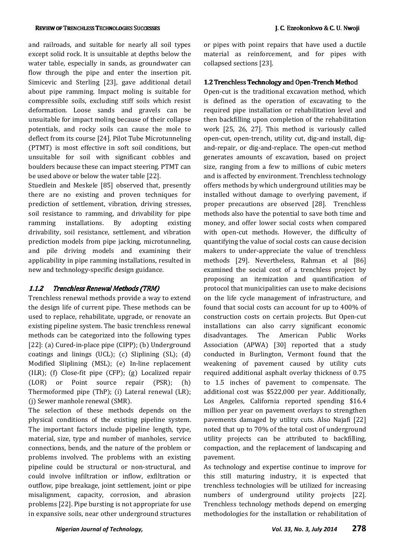and railroads, and suitable for nearly all soil types except solid rock. It is unsuitable at depths below the water table, especially in sands, as groundwater can flow through the pipe and enter the insertion pit. Simicevic and Sterling [23], gave additional detail about pipe ramming. Impact moling is suitable for compressible soils, excluding stiff soils which resist deformation. Loose sands and gravels can be unsuitable for impact moling because of their collapse potentials, and rocky soils can cause the mole to deflect from its course [24]. Pilot Tube Microtunneling (PTMT) is most effective in soft soil conditions, but unsuitable for soil with significant cobbles and boulders because these can impact steering. PTMT can be used above or below the water table [22].

Stuedlein and Meskele [85] observed that, presently there are no existing and proven techniques for prediction of settlement, vibration, driving stresses, soil resistance to ramming, and drivability for pipe ramming installations. By adopting existing drivability, soil resistance, settlement, and vibration prediction models from pipe jacking, microtunneling, and pile driving models and examining their applicability in pipe ramming installations, resulted in new and technology-specific design guidance.

# 1.1.2 Trenchless Renewal Methods (TRM)

Trenchless renewal methods provide a way to extend the design life of current pipe. These methods can be used to replace, rehabilitate, upgrade, or renovate an existing pipeline system. The basic trenchless renewal methods can be categorized into the following types [22]: (a) Cured-in-place pipe (CIPP); (b) Underground coatings and linings (UCL); (c) Sliplining (SL); (d) Modified Sliplining (MSL); (e) In-line replacement (ILR); (f) Close-fit pipe (CFP); (g) Localized repair (LOR) or Point source repair (PSR); (h) Thermoformed pipe (ThP); (i) Lateral renewal (LR); (j) Sewer manhole renewal (SMR).

The selection of these methods depends on the physical conditions of the existing pipeline system. The important factors include pipeline length, type, material, size, type and number of manholes, service connections, bends, and the nature of the problem or problems involved. The problems with an existing pipeline could be structural or non-structural, and could involve infiltration or inflow, exfiltration or outflow, pipe breakage, joint settlement, joint or pipe misalignment, capacity, corrosion, and abrasion problems [22]. Pipe bursting is not appropriate for use in expansive soils, near other underground structures material as reinforcement, and for pipes with collapsed sections [23].

# 1.2 Trenchless Technology and Open-Trench Method

Open-cut is the traditional excavation method, which is defined as the operation of excavating to the required pipe installation or rehabilitation level and then backfilling upon completion of the rehabilitation work [25, 26, 27]. This method is variously called open-cut, open-trench, utility cut, dig-and install, digand-repair, or dig-and-replace. The open-cut method generates amounts of excavation, based on project size, ranging from a few to millions of cubic meters and is affected by environment. Trenchless technology offers methods by which underground utilities may be installed without damage to overlying pavement, if proper precautions are observed [28]. Trenchless methods also have the potential to save both time and money, and offer lower social costs when compared with open-cut methods. However, the difficulty of quantifying the value of social costs can cause decision makers to under-appreciate the value of trenchless methods [29]. Nevertheless, Rahman et al [86] examined the social cost of a trenchless project by proposing an itemization and quantification of protocol that municipalities can use to make decisions on the life cycle management of infrastructure, and found that social costs can account for up to 400% of construction costs on certain projects. But Open-cut installations can also carry significant economic disadvantages. The American Public Works Association (APWA) [30] reported that a study conducted in Burlington, Vermont found that the weakening of pavement caused by utility cuts required additional asphalt overlay thickness of 0.75 to 1.5 inches of pavement to compensate. The additional cost was \$522,000 per year. Additionally, Los Angeles, California reported spending \$16.4 million per year on pavement overlays to strengthen pavements damaged by utility cuts. Also Najafi [22] noted that up to 70% of the total cost of underground utility projects can be attributed to backfilling, compaction, and the replacement of landscaping and pavement.

As technology and expertise continue to improve for this still maturing industry, it is expected that trenchless technologies will be utilized for increasing numbers of underground utility projects [22]. Trenchless technology methods depend on emerging methodologies for the installation or rehabilitation of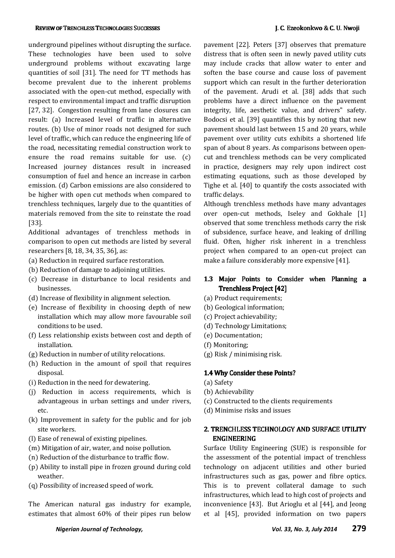underground pipelines without disrupting the surface. These technologies have been used to solve underground problems without excavating large quantities of soil [31]. The need for TT methods has become prevalent due to the inherent problems associated with the open-cut method, especially with respect to environmental impact and traffic disruption [27, 32]. Congestion resulting from lane closures can result: (a) Increased level of traffic in alternative routes. (b) Use of minor roads not designed for such level of traffic, which can reduce the engineering life of the road, necessitating remedial construction work to ensure the road remains suitable for use. (c) Increased journey distances result in increased consumption of fuel and hence an increase in carbon emission. (d) Carbon emissions are also considered to be higher with open cut methods when compared to trenchless techniques, largely due to the quantities of materials removed from the site to reinstate the road [33].

Additional advantages of trenchless methods in comparison to open cut methods are listed by several researchers [8, 18, 34, 35, 36], as:

- (a) Reduction in required surface restoration.
- (b) Reduction of damage to adjoining utilities.
- (c) Decrease in disturbance to local residents and businesses.
- (d) Increase of flexibility in alignment selection.
- (e) Increase of flexibility in choosing depth of new installation which may allow more favourable soil conditions to be used.
- (f) Less relationship exists between cost and depth of installation.
- (g) Reduction in number of utility relocations.
- (h) Reduction in the amount of spoil that requires disposal.
- (i) Reduction in the need for dewatering.
- (j) Reduction in access requirements, which is advantageous in urban settings and under rivers, etc.
- (k) Improvement in safety for the public and for job site workers.
- (l) Ease of renewal of existing pipelines.
- (m) Mitigation of air, water, and noise pollution.
- (n) Reduction of the disturbance to traffic flow.
- (p) Ability to install pipe in frozen ground during cold weather.
- (q) Possibility of increased speed of work.

The American natural gas industry for example, estimates that almost 60% of their pipes run below pavement [22]. Peters [37] observes that premature distress that is often seen in newly paved utility cuts may include cracks that allow water to enter and soften the base course and cause loss of pavement support which can result in the further deterioration of the pavement. Arudi et al. [38] adds that such problems have a direct influence on the pavement integrity, life, aesthetic value, and drivers" safety. Bodocsi et al. [39] quantifies this by noting that new pavement should last between 15 and 20 years, while pavement over utility cuts exhibits a shortened life span of about 8 years. As comparisons between opencut and trenchless methods can be very complicated in practice, designers may rely upon indirect cost estimating equations, such as those developed by Tighe et al. [40] to quantify the costs associated with traffic delays.

Although trenchless methods have many advantages over open-cut methods, Iseley and Gokhale [1] observed that some trenchless methods carry the risk of subsidence, surface heave, and leaking of drilling fluid. Often, higher risk inherent in a trenchless project when compared to an open-cut project can make a failure considerably more expensive [41].

# 1.3 Major Points to Consider when Planning a Trenchless Project [42]

- (a) Product requirements;
- (b) Geological information;
- (c) Project achievability;
- (d) Technology Limitations;
- (e) Documentation;
- (f) Monitoring;
- (g) Risk / minimising risk.

## 1.4 Why Consider these Points?

- (a) Safety
- (b) Achievability
- (c) Constructed to the clients requirements
- (d) Minimise risks and issues

## 2. TRENCHLESS TECHNOLOGY AND SURFACE UTILITY ENGINEERING

Surface Utility Engineering (SUE) is responsible for the assessment of the potential impact of trenchless technology on adjacent utilities and other buried infrastructures such as gas, power and fibre optics. This is to prevent collateral damage to such infrastructures, which lead to high cost of projects and inconvenience [43]. But Arioglu et al [44], and Jeong et al [45], provided information on two papers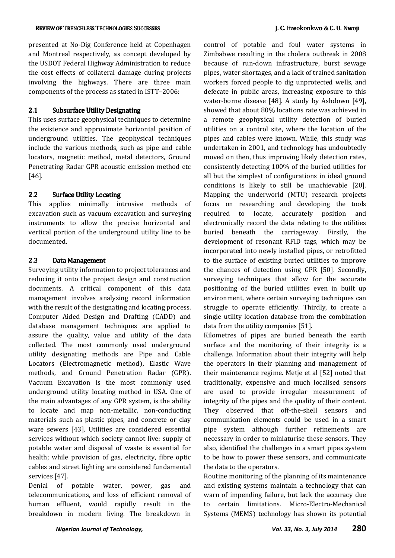#### REVIEW OF TRENCHLESS TECHNOLOGIES SUCCESSES **SUCCESSES** J. C. Ezeokonkwo & C. U. Nwoji

presented at No-Dig Conference held at Copenhagen and Montreal respectively, as concept developed by the USDOT Federal Highway Administration to reduce the cost effects of collateral damage during projects involving the highways. There are three main components of the process as stated in ISTT–2006:

# 2.1 Subsurface Utility Designating

This uses surface geophysical techniques to determine the existence and approximate horizontal position of underground utilities. The geophysical techniques include the various methods, such as pipe and cable locators, magnetic method, metal detectors, Ground Penetrating Radar GPR acoustic emission method etc [46].

# 2.2 Surface Utility Locating

This applies minimally intrusive methods of excavation such as vacuum excavation and surveying instruments to allow the precise horizontal and vertical portion of the underground utility line to be documented.

# 2.3 Data Management

Surveying utility information to project tolerances and reducing it onto the project design and construction documents. A critical component of this data management involves analyzing record information with the result of the designating and locating process. Computer Aided Design and Drafting (CADD) and database management techniques are applied to assure the quality, value and utility of the data collected. The most commonly used underground utility designating methods are Pipe and Cable Locators (Electromagnetic method), Elastic Wave methods, and Ground Penetration Radar (GPR). Vacuum Excavation is the most commonly used underground utility locating method in USA. One of the main advantages of any GPR system, is the ability to locate and map non-metallic, non-conducting materials such as plastic pipes, and concrete or clay ware sewers [43]. Utilities are considered essential services without which society cannot live: supply of potable water and disposal of waste is essential for health; while provision of gas, electricity, fibre optic cables and street lighting are considered fundamental services [47].

Denial of potable water, power, gas and telecommunications, and loss of efficient removal of human effluent, would rapidly result in the breakdown in modern living. The breakdown in control of potable and foul water systems in Zimbabwe resulting in the cholera outbreak in 2008 because of run-down infrastructure, burst sewage pipes, water shortages, and a lack of trained sanitation workers forced people to dig unprotected wells, and defecate in public areas, increasing exposure to this water-borne disease [48]. A study by Ashdown [49], showed that about 80% locations rate was achieved in a remote geophysical utility detection of buried utilities on a control site, where the location of the pipes and cables were known. While, this study was undertaken in 2001, and technology has undoubtedly moved on then, thus improving likely detection rates, consistently detecting 100% of the buried utilities for all but the simplest of configurations in ideal ground conditions is likely to still be unachievable [20]. Mapping the underworld (MTU) research projects focus on researching and developing the tools required to locate, accurately position and electronically record the data relating to the utilities buried beneath the carriageway. Firstly, the development of resonant RFID tags, which may be incorporated into newly installed pipes, or retrofitted to the surface of existing buried utilities to improve the chances of detection using GPR [50]. Secondly, surveying techniques that allow for the accurate positioning of the buried utilities even in built up environment, where certain surveying techniques can struggle to operate efficiently. Thirdly, to create a single utility location database from the combination data from the utility companies [51].

Kilometres of pipes are buried beneath the earth surface and the monitoring of their integrity is a challenge. Information about their integrity will help the operators in their planning and management of their maintenance regime. Metje et al [52] noted that traditionally, expensive and much localised sensors are used to provide irregular measurement of integrity of the pipes and the quality of their content. They observed that off-the-shell sensors and communication elements could be used in a smart pipe system although further refinements are necessary in order to miniaturise these sensors. They also, identified the challenges in a smart pipes system to be how to power these sensors, and communicate the data to the operators.

Routine monitoring of the planning of its maintenance and existing systems maintain a technology that can warn of impending failure, but lack the accuracy due to certain limitations. Micro-Electro-Mechanical Systems (MEMS) technology has shown its potential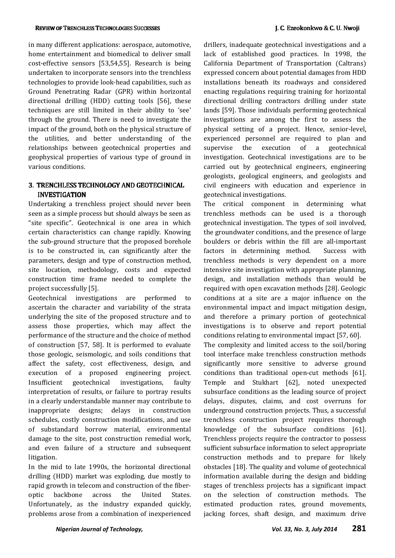in many different applications: aerospace, automotive, home entertainment and biomedical to deliver small cost-effective sensors [53,54,55]. Research is being undertaken to incorporate sensors into the trenchless technologies to provide look-head capabilities, such as Ground Penetrating Radar (GPR) within horizontal directional drilling (HDD) cutting tools [56], these techniques are still limited in their ability to 'see' through the ground. There is need to investigate the impact of the ground, both on the physical structure of the utilities, and better understanding of the relationships between geotechnical properties and geophysical properties of various type of ground in

# 3. TRENCHLESS TECHNOLOGY AND GEOTECHNICAL INVESTIGATION

various conditions.

Undertaking a trenchless project should never been seen as a simple process but should always be seen as "site specific". Geotechnical is one area in which certain characteristics can change rapidly. Knowing the sub-ground structure that the proposed borehole is to be constructed in, can significantly alter the parameters, design and type of construction method, site location, methodology, costs and expected construction time frame needed to complete the project successfully [5].

Geotechnical investigations are performed to ascertain the character and variability of the strata underlying the site of the proposed structure and to assess those properties, which may affect the performance of the structure and the choice of method of construction [57, 58]. It is performed to evaluate those geologic, seismologic, and soils conditions that affect the safety, cost effectiveness, design, and execution of a proposed engineering project. Insufficient geotechnical investigations, faulty interpretation of results, or failure to portray results in a clearly understandable manner may contribute to inappropriate designs; delays in construction schedules, costly construction modifications, and use of substandard borrow material, environmental damage to the site, post construction remedial work, and even failure of a structure and subsequent litigation.

In the mid to late 1990s, the horizontal directional drilling (HDD) market was exploding, due mostly to rapid growth in telecom and construction of the fiberoptic backbone across the United States. Unfortunately, as the industry expanded quickly, problems arose from a combination of inexperienced drillers, inadequate geotechnical investigations and a lack of established good practices. In 1998, the California Department of Transportation (Caltrans) expressed concern about potential damages from HDD installations beneath its roadways and considered enacting regulations requiring training for horizontal directional drilling contractors drilling under state lands [59]. Those individuals performing geotechnical investigations are among the first to assess the physical setting of a project. Hence, senior-level, experienced personnel are required to plan and supervise the execution of a geotechnical investigation. Geotechnical investigations are to be carried out by geotechnical engineers, engineering geologists, geological engineers, and geologists and civil engineers with education and experience in geotechnical investigations.

The critical component in determining what trenchless methods can be used is a thorough geotechnical investigation. The types of soil involved, the groundwater conditions, and the presence of large boulders or debris within the fill are all-important factors in determining method. Success with trenchless methods is very dependent on a more intensive site investigation with appropriate planning, design, and installation methods than would be required with open excavation methods [28]. Geologic conditions at a site are a major influence on the environmental impact and impact mitigation design, and therefore a primary portion of geotechnical investigations is to observe and report potential conditions relating to environmental impact [57, 60]. The complexity and limited access to the soil/boring tool interface make trenchless construction methods significantly more sensitive to adverse ground conditions than traditional open-cut methods [61]. Temple and Stukhart [62], noted unexpected subsurface conditions as the leading source of project delays, disputes, claims, and cost overruns for underground construction projects. Thus, a successful trenchless construction project requires thorough knowledge of the subsurface conditions [61]. Trenchless projects require the contractor to possess sufficient subsurface information to select appropriate construction methods and to prepare for likely obstacles [18]. The quality and volume of geotechnical information available during the design and bidding stages of trenchless projects has a significant impact on the selection of construction methods. The estimated production rates, ground movements, jacking forces, shaft design, and maximum drive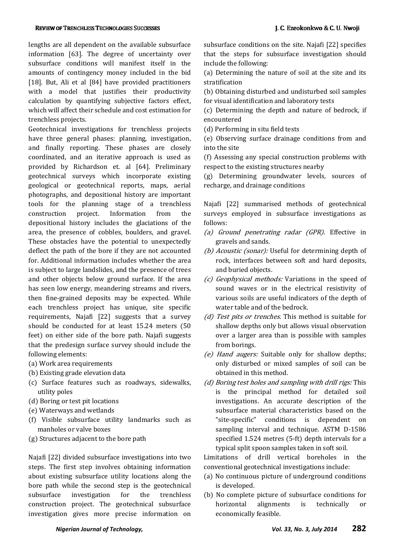lengths are all dependent on the available subsurface information [63]. The degree of uncertainty over subsurface conditions will manifest itself in the amounts of contingency money included in the bid [18]. But, Ali et al [84] have provided practitioners with a model that justifies their productivity calculation by quantifying subjective factors effect, which will affect their schedule and cost estimation for trenchless projects.

Geotechnical investigations for trenchless projects have three general phases: planning, investigation, and finally reporting. These phases are closely coordinated, and an iterative approach is used as provided by Richardson et. al [64]. Preliminary geotechnical surveys which incorporate existing geological or geotechnical reports, maps, aerial photographs, and depositional history are important tools for the planning stage of a trenchless construction project. Information from the depositional history includes the glaciations of the area, the presence of cobbles, boulders, and gravel. These obstacles have the potential to unexpectedly deflect the path of the bore if they are not accounted for. Additional information includes whether the area is subject to large landslides, and the presence of trees and other objects below ground surface. If the area has seen low energy, meandering streams and rivers, then fine-grained deposits may be expected. While each trenchless project has unique, site specific requirements, Najafi [22] suggests that a survey should be conducted for at least 15.24 meters (50 feet) on either side of the bore path. Najafi suggests that the predesign surface survey should include the following elements:

- (a) Work area requirements
- (b) Existing grade elevation data
- (c) Surface features such as roadways, sidewalks, utility poles
- (d) Boring or test pit locations
- (e) Waterways and wetlands
- (f) Visible subsurface utility landmarks such as manholes or valve boxes
- (g) Structures adjacent to the bore path

Najafi [22] divided subsurface investigations into two steps. The first step involves obtaining information about existing subsurface utility locations along the bore path while the second step is the geotechnical subsurface investigation for the trenchless construction project. The geotechnical subsurface investigation gives more precise information on

subsurface conditions on the site. Najafi [22] specifies that the steps for subsurface investigation should include the following:

(a) Determining the nature of soil at the site and its stratification

(b) Obtaining disturbed and undisturbed soil samples for visual identification and laboratory tests

(c) Determining the depth and nature of bedrock, if encountered

(d) Performing in situ field tests

(e) Observing surface drainage conditions from and into the site

(f) Assessing any special construction problems with respect to the existing structures nearby

(g) Determining groundwater levels, sources of recharge, and drainage conditions

Najafi [22] summarised methods of geotechnical surveys employed in subsurface investigations as follows:

- (a) Ground penetrating radar (GPR). Effective in gravels and sands.
- (b) Acoustic (sonar): Useful for determining depth of rock, interfaces between soft and hard deposits, and buried objects.
- (c) Geophysical methods: Variations in the speed of sound waves or in the electrical resistivity of various soils are useful indicators of the depth of water table and of the bedrock.
- (d) Test pits or trenches. This method is suitable for shallow depths only but allows visual observation over a larger area than is possible with samples from borings.
- (e) Hand augers: Suitable only for shallow depths; only disturbed or mixed samples of soil can be obtained in this method.
- (d) Boring test holes and sampling with drill rigs: This is the principal method for detailed soil investigations. An accurate description of the subsurface material characteristics based on the "site-specific" conditions is dependent on sampling interval and technique. ASTM D-1586 specified 1.524 metres (5-ft) depth intervals for a typical split spoon samples taken in soft soil.

Limitations of drill vertical boreholes in the conventional geotechnical investigations include:

- (a) No continuous picture of underground conditions is developed.
- (b) No complete picture of subsurface conditions for horizontal alignments is technically or economically feasible.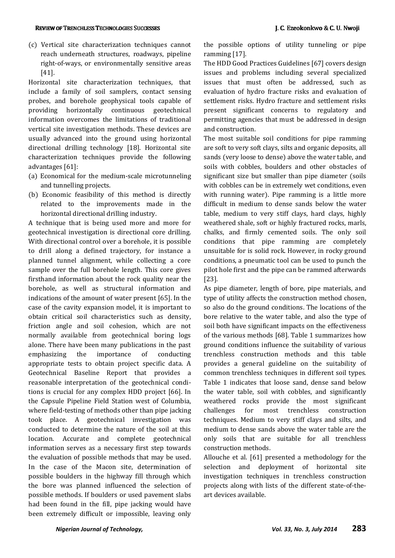(c) Vertical site characterization techniques cannot reach underneath structures, roadways, pipeline right-of-ways, or environmentally sensitive areas [41].

Horizontal site characterization techniques, that include a family of soil samplers, contact sensing probes, and borehole geophysical tools capable of providing horizontally continuous geotechnical information overcomes the limitations of traditional vertical site investigation methods. These devices are usually advanced into the ground using horizontal directional drilling technology [18]. Horizontal site characterization techniques provide the following advantages [61]:

- (a) Economical for the medium-scale microtunneling and tunnelling projects.
- (b) Economic feasibility of this method is directly related to the improvements made in the horizontal directional drilling industry.

A technique that is being used more and more for geotechnical investigation is directional core drilling. With directional control over a borehole, it is possible to drill along a defined trajectory, for instance a planned tunnel alignment, while collecting a core sample over the full borehole length. This core gives firsthand information about the rock quality near the borehole, as well as structural information and indications of the amount of water present [65]. In the case of the cavity expansion model, it is important to obtain critical soil characteristics such as density, friction angle and soil cohesion, which are not normally available from geotechnical boring logs alone. There have been many publications in the past emphasizing the importance of conducting appropriate tests to obtain project specific data. A Geotechnical Baseline Report that provides a reasonable interpretation of the geotechnical conditions is crucial for any complex HDD project [66]. In the Capsule Pipeline Field Station west of Columbia, where field-testing of methods other than pipe jacking took place. A geotechnical investigation was conducted to determine the nature of the soil at this location. Accurate and complete geotechnical information serves as a necessary first step towards the evaluation of possible methods that may be used. In the case of the Macon site, determination of possible boulders in the highway fill through which the bore was planned influenced the selection of possible methods. If boulders or used pavement slabs had been found in the fill, pipe jacking would have been extremely difficult or impossible, leaving only

the possible options of utility tunneling or pipe ramming [17].

The HDD Good Practices Guidelines [67] covers design issues and problems including several specialized issues that must often be addressed, such as evaluation of hydro fracture risks and evaluation of settlement risks. Hydro fracture and settlement risks present significant concerns to regulatory and permitting agencies that must be addressed in design and construction.

The most suitable soil conditions for pipe ramming are soft to very soft clays, silts and organic deposits, all sands (very loose to dense) above the water table, and soils with cobbles, boulders and other obstacles of significant size but smaller than pipe diameter (soils with cobbles can be in extremely wet conditions, even with running water). Pipe ramming is a little more difficult in medium to dense sands below the water table, medium to very stiff clays, hard clays, highly weathered shale, soft or highly fractured rocks, marls, chalks, and firmly cemented soils. The only soil conditions that pipe ramming are completely unsuitable for is solid rock. However, in rocky ground conditions, a pneumatic tool can be used to punch the pilot hole first and the pipe can be rammed afterwards [23].

As pipe diameter, length of bore, pipe materials, and type of utility affects the construction method chosen, so also do the ground conditions. The locations of the bore relative to the water table, and also the type of soil both have significant impacts on the effectiveness of the various methods [68]. Table 1 summarizes how ground conditions influence the suitability of various trenchless construction methods and this table provides a general guideline on the suitability of common trenchless techniques in different soil types. Table 1 indicates that loose sand, dense sand below the water table, soil with cobbles, and significantly weathered rocks provide the most significant challenges for most trenchless construction techniques. Medium to very stiff clays and silts, and medium to dense sands above the water table are the only soils that are suitable for all trenchless construction methods.

Allouche et al. [61] presented a methodology for the selection and deployment of horizontal site investigation techniques in trenchless construction projects along with lists of the different state-of-theart devices available.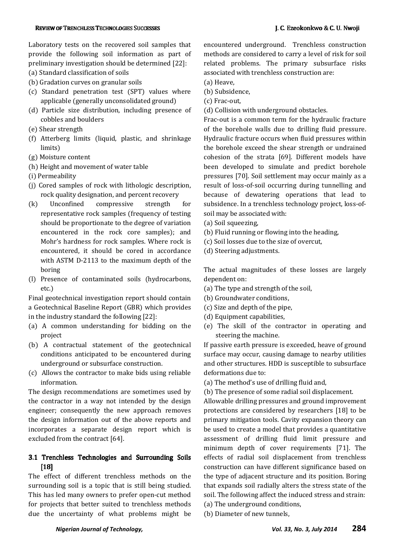Laboratory tests on the recovered soil samples that provide the following soil information as part of preliminary investigation should be determined [22]:

- (a) Standard classification of soils
- (b) Gradation curves on granular soils
- (c) Standard penetration test (SPT) values where applicable (generally unconsolidated ground)
- (d) Particle size distribution, including presence of cobbles and boulders
- (e) Shear strength
- (f) Atterberg limits (liquid, plastic, and shrinkage limits)
- (g) Moisture content
- (h) Height and movement of water table
- (i) Permeability
- (j) Cored samples of rock with lithologic description, rock quality designation, and percent recovery
- (k) Unconfined compressive strength for representative rock samples (frequency of testing should be proportionate to the degree of variation encountered in the rock core samples); and Mohr's hardness for rock samples. Where rock is encountered, it should be cored in accordance with ASTM D-2113 to the maximum depth of the boring
- (l) Presence of contaminated soils (hydrocarbons, etc.)

Final geotechnical investigation report should contain a Geotechnical Baseline Report (GBR) which provides in the industry standard the following [22]:

- (a) A common understanding for bidding on the project
- (b) A contractual statement of the geotechnical conditions anticipated to be encountered during underground or subsurface construction.
- (c) Allows the contractor to make bids using reliable information.

The design recommendations are sometimes used by the contractor in a way not intended by the design engineer; consequently the new approach removes the design information out of the above reports and incorporates a separate design report which is excluded from the contract [64].

# 3.1 Trenchless Technologies and Surrounding Soils [18]

The effect of different trenchless methods on the surrounding soil is a topic that is still being studied. This has led many owners to prefer open-cut method for projects that better suited to trenchless methods due the uncertainty of what problems might be encountered underground. Trenchless construction methods are considered to carry a level of risk for soil related problems. The primary subsurface risks associated with trenchless construction are:

- (a) Heave,
- (b) Subsidence,
- (c) Frac-out,
- (d) Collision with underground obstacles.

Frac-out is a common term for the hydraulic fracture of the borehole walls due to drilling fluid pressure. Hydraulic fracture occurs when fluid pressures within the borehole exceed the shear strength or undrained cohesion of the strata [69]. Different models have been developed to simulate and predict borehole pressures [70]. Soil settlement may occur mainly as a result of loss-of-soil occurring during tunnelling and because of dewatering operations that lead to subsidence. In a trenchless technology project, loss-ofsoil may be associated with:

- (a) Soil squeezing.
- (b) Fluid running or flowing into the heading,
- (c) Soil losses due to the size of overcut,
- (d) Steering adjustments.

The actual magnitudes of these losses are largely dependent on:

- (a) The type and strength of the soil,
- (b) Groundwater conditions,
- (c) Size and depth of the pipe,
- (d) Equipment capabilities,
- (e) The skill of the contractor in operating and steering the machine.

If passive earth pressure is exceeded, heave of ground surface may occur, causing damage to nearby utilities and other structures. HDD is susceptible to subsurface deformations due to:

(a) The method's use of drilling fluid and,

(b) The presence of some radial soil displacement.

Allowable drilling pressures and ground improvement protections are considered by researchers [18] to be primary mitigation tools. Cavity expansion theory can be used to create a model that provides a quantitative assessment of drilling fluid limit pressure and minimum depth of cover requirements [71]. The effects of radial soil displacement from trenchless construction can have different significance based on the type of adjacent structure and its position. Boring that expands soil radially alters the stress state of the soil. The following affect the induced stress and strain:

- (a) The underground conditions,
- (b) Diameter of new tunnels,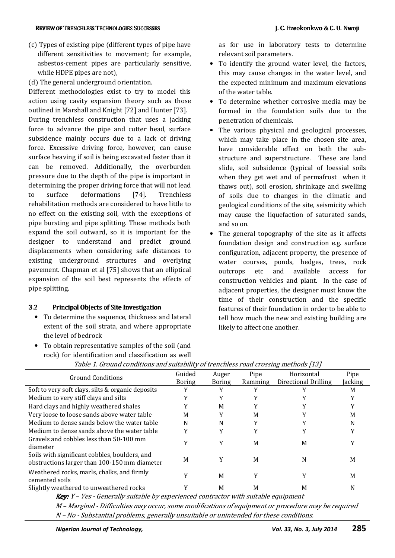- (c) Types of existing pipe (different types of pipe have different sensitivities to movement; for example, asbestos-cement pipes are particularly sensitive, while HDPE pipes are not),
- (d) The general underground orientation.

Different methodologies exist to try to model this action using cavity expansion theory such as those outlined in Marshall and Knight [72] and Hunter [73]. During trenchless construction that uses a jacking force to advance the pipe and cutter head, surface subsidence mainly occurs due to a lack of driving force. Excessive driving force, however, can cause surface heaving if soil is being excavated faster than it can be removed. Additionally, the overburden pressure due to the depth of the pipe is important in determining the proper driving force that will not lead to surface deformations [74]. Trenchless rehabilitation methods are considered to have little to no effect on the existing soil, with the exceptions of pipe bursting and pipe splitting. These methods both expand the soil outward, so it is important for the designer to understand and predict ground displacements when considering safe distances to existing underground structures and overlying pavement. Chapman et al [75] shows that an elliptical expansion of the soil best represents the effects of pipe splitting.

## 3.2 Principal Objects of Site Investigation

- To determine the sequence, thickness and lateral extent of the soil strata, and where appropriate the level of bedrock
- To obtain representative samples of the soil (and rock) for identification and classification as well

as for use in laboratory tests to determine relevant soil parameters.

- To identify the ground water level, the factors, this may cause changes in the water level, and the expected minimum and maximum elevations of the water table.
- To determine whether corrosive media may be formed in the foundation soils due to the penetration of chemicals.
- The various physical and geological processes, which may take place in the chosen site area, have considerable effect on both the substructure and superstructure. These are land slide, soil subsidence (typical of loessial soils when they get wet and of permafrost when it thaws out), soil erosion, shrinkage and swelling of soils due to changes in the climatic and geological conditions of the site, seismicity which may cause the liquefaction of saturated sands, and so on.
- The general topography of the site as it affects foundation design and construction e.g. surface configuration, adjacent property, the presence of water courses, ponds, hedges, trees, rock outcrops etc and available access for construction vehicles and plant. In the case of adjacent properties, the designer must know the time of their construction and the specific features of their foundation in order to be able to tell how much the new and existing building are likely to affect one another.

| <b>Ground Conditions</b>                                                                      | Guided        | Auger         | Pipe    | Horizontal           | Pipe           |
|-----------------------------------------------------------------------------------------------|---------------|---------------|---------|----------------------|----------------|
|                                                                                               | <b>Boring</b> | <b>Boring</b> | Ramming | Directional Drilling | <b>Jacking</b> |
| Soft to very soft clays, silts & organic deposits                                             | v             | v             | v       |                      | M              |
| Medium to very stiff clays and silts                                                          |               | v             | v       |                      |                |
| Hard clays and highly weathered shales                                                        |               | М             | v       |                      |                |
| Very loose to loose sands above water table                                                   | M             | v             | М       |                      | M              |
| Medium to dense sands below the water table                                                   | N             | N             | Y       |                      | N              |
| Medium to dense sands above the water table                                                   |               | v             | v       |                      |                |
| Gravels and cobbles less than 50-100 mm<br>diameter                                           | v             | Y             | M       | М                    |                |
| Soils with significant cobbles, boulders, and<br>obstructions larger than 100-150 mm diameter | M             | Y             | M       | N                    | M              |
| Weathered rocks, marls, chalks, and firmly<br>cemented soils                                  | v             | M             | Y       |                      | M              |
| Slightly weathered to unweathered rocks                                                       |               | M             | М       | M                    | N              |

Table 1. Ground conditions and suitability of trenchless road crossing methods [13]

Key: Y – Yes - Generally suitable by experienced contractor with suitable equipment

M – Marginal - Difficulties may occur, some modifications of equipment or procedure may be required N – No - Substantial problems, generally unsuitable or unintended for these conditions.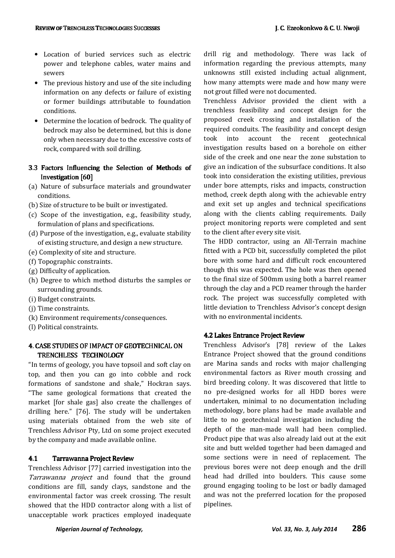- Location of buried services such as electric power and telephone cables, water mains and sewers
- The previous history and use of the site including information on any defects or failure of existing or former buildings attributable to foundation conditions.
- Determine the location of bedrock. The quality of bedrock may also be determined, but this is done only when necessary due to the excessive costs of rock, compared with soil drilling.

# 3.3 Factors Influencing the Selection of Methods of Investigation [60]

- (a) Nature of subsurface materials and groundwater conditions.
- (b) Size of structure to be built or investigated.
- (c) Scope of the investigation, e.g., feasibility study, formulation of plans and specifications.
- (d) Purpose of the investigation, e.g., evaluate stability of existing structure, and design a new structure.
- (e) Complexity of site and structure.
- (f) Topographic constraints.
- (g) Difficulty of application.
- (h) Degree to which method disturbs the samples or surrounding grounds.
- (i) Budget constraints.
- (j) Time constraints.
- (k) Environment requirements/consequences.
- (l) Political constraints.

# 4. CASE STUDIES OF IMPACT OF GEOTECHNICAL ON TRENCHLESS TECHNOLOGY

"In terms of geology, you have topsoil and soft clay on top, and then you can go into cobble and rock formations of sandstone and shale," Hockran says. "The same geological formations that created the market [for shale gas] also create the challenges of drilling here." [76]. The study will be undertaken using materials obtained from the web site of Trenchless Advisor Pty, Ltd on some project executed by the company and made available online.

## 4.1 Tarrawanna Project Review

Trenchless Advisor [77] carried investigation into the Tarrawanna project and found that the ground conditions are fill, sandy clays, sandstone and the environmental factor was creek crossing. The result showed that the HDD contractor along with a list of unacceptable work practices employed inadequate

drill rig and methodology. There was lack of information regarding the previous attempts, many unknowns still existed including actual alignment, how many attempts were made and how many were not grout filled were not documented.

Trenchless Advisor provided the client with a trenchless feasibility and concept design for the proposed creek crossing and installation of the required conduits. The feasibility and concept design took into account the recent geotechnical investigation results based on a borehole on either side of the creek and one near the zone substation to give an indication of the subsurface conditions. It also took into consideration the existing utilities, previous under bore attempts, risks and impacts, construction method, creek depth along with the achievable entry and exit set up angles and technical specifications along with the clients cabling requirements. Daily project monitoring reports were completed and sent to the client after every site visit.

The HDD contractor, using an All-Terrain machine fitted with a PCD bit, successfully completed the pilot bore with some hard and difficult rock encountered though this was expected. The hole was then opened to the final size of 500mm using both a barrel reamer through the clay and a PCD reamer through the harder rock. The project was successfully completed with little deviation to Trenchless Advisor's concept design with no environmental incidents.

## 4.2 Lakes Entrance Project Review

Trenchless Advisor's [78] review of the Lakes Entrance Project showed that the ground conditions are Marina sands and rocks with major challenging environmental factors as River mouth crossing and bird breeding colony. It was discovered that little to no pre-designed works for all HDD bores were undertaken, minimal to no documentation including methodology, bore plans had be made available and little to no geotechnical investigation including the depth of the man-made wall had been complied. Product pipe that was also already laid out at the exit site and butt welded together had been damaged and some sections were in need of replacement. The previous bores were not deep enough and the drill head had drilled into boulders. This cause some ground engaging tooling to be lost or badly damaged and was not the preferred location for the proposed pipelines.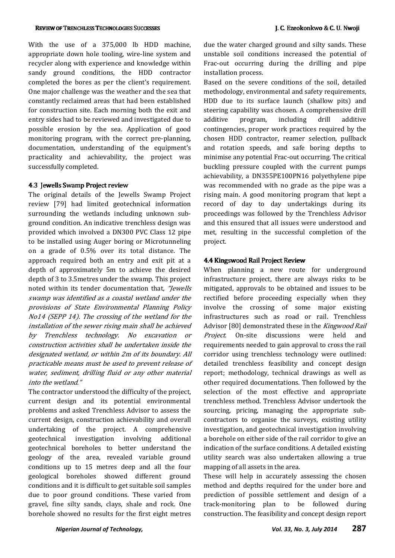With the use of a 375,000 lb HDD machine, appropriate down hole tooling, wire-line system and recycler along with experience and knowledge within sandy ground conditions, the HDD contractor completed the bores as per the client's requirement. One major challenge was the weather and the sea that constantly reclaimed areas that had been established for construction site. Each morning both the exit and entry sides had to be reviewed and investigated due to possible erosion by the sea. Application of good monitoring program, with the correct pre-planning, documentation, understanding of the equipment's practicality and achievability, the project was successfully completed.

## 4.3 Jewells Swamp Project review

The original details of the Jewells Swamp Project review [79] had limited geotechnical information surrounding the wetlands including unknown subground condition. An indicative trenchless design was provided which involved a DN300 PVC Class 12 pipe to be installed using Auger boring or Microtunneling on a grade of 0.5% over its total distance. The approach required both an entry and exit pit at a depth of approximately 5m to achieve the desired depth of 3 to 3.5metres under the swamp. This project noted within its tender documentation that, "Jewells swamp was identified as a coastal wetland under the provisions of State Environmental Planning Policy No14 (SEPP 14). The crossing of the wetland for the installation of the sewer rising main shall be achieved by Trenchless technology. No excavation or construction activities shall be undertaken inside the designated wetland, or within 2m of its boundary. All practicable means must be used to prevent release of water, sediment, drilling fluid or any other material into the wetland."

The contractor understood the difficulty of the project, current design and its potential environmental problems and asked Trenchless Advisor to assess the current design, construction achievability and overall undertaking of the project. A comprehensive geotechnical investigation involving additional geotechnical boreholes to better understand the geology of the area, revealed variable ground conditions up to 15 metres deep and all the four geological boreholes showed different ground conditions and it is difficult to get suitable soil samples due to poor ground conditions. These varied from gravel, fine silty sands, clays, shale and rock. One borehole showed no results for the first eight metres due the water charged ground and silty sands. These unstable soil conditions increased the potential of Frac-out occurring during the drilling and pipe installation process.

Based on the severe conditions of the soil, detailed methodology, environmental and safety requirements, HDD due to its surface launch (shallow pits) and steering capability was chosen. A comprehensive drill additive program, including drill additive contingencies, proper work practices required by the chosen HDD contractor, reamer selection, pullback and rotation speeds, and safe boring depths to minimise any potential Frac-out occurring. The critical buckling pressure coupled with the current pumps achievability, a DN355PE100PN16 polyethylene pipe was recommended with no grade as the pipe was a rising main. A good monitoring program that kept a record of day to day undertakings during its proceedings was followed by the Trenchless Advisor and this ensured that all issues were understood and met, resulting in the successful completion of the project.

## 4.4 Kingswood Rail Project Review

When planning a new route for underground infrastructure project, there are always risks to be mitigated, approvals to be obtained and issues to be rectified before proceeding especially when they involve the crossing of some major existing infrastructures such as road or rail. Trenchless Advisor [80] demonstrated these in the Kingwood Rail Project. On-site discussions were held and requirements needed to gain approval to cross the rail corridor using trenchless technology were outlined: detailed trenchless feasibility and concept design report; methodology, technical drawings as well as other required documentations. Then followed by the selection of the most effective and appropriate trenchless method. Trenchless Advisor undertook the sourcing, pricing, managing the appropriate subcontractors to organise the surveys, existing utility investigation, and geotechnical investigation involving a borehole on either side of the rail corridor to give an indication of the surface conditions. A detailed existing utility search was also undertaken allowing a true mapping of all assets in the area.

These will help in accurately assessing the chosen method and depths required for the under bore and prediction of possible settlement and design of a track-monitoring plan to be followed during construction. The feasibility and concept design report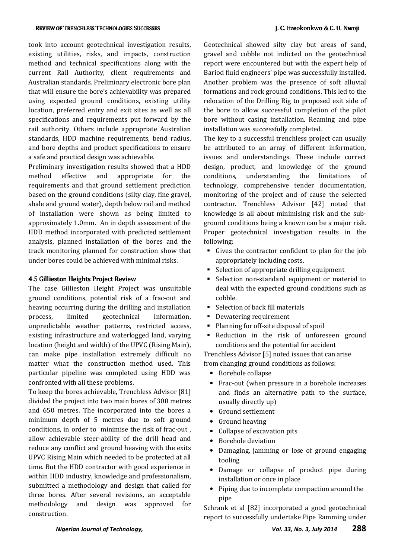took into account geotechnical investigation results, existing utilities, risks, and impacts, construction method and technical specifications along with the current Rail Authority, client requirements and Australian standards. Preliminary electronic bore plan that will ensure the bore's achievability was prepared using expected ground conditions, existing utility location, preferred entry and exit sites as well as all specifications and requirements put forward by the rail authority. Others include appropriate Australian standards, HDD machine requirements, bend radius, and bore depths and product specifications to ensure a safe and practical design was achievable.

Preliminary investigation results showed that a HDD method effective and appropriate for the requirements and that ground settlement prediction based on the ground conditions (silty clay, fine gravel, shale and ground water), depth below rail and method of installation were shown as being limited to approximately 1.0mm. An in depth assessment of the HDD method incorporated with predicted settlement analysis, planned installation of the bores and the track monitoring planned for construction show that under bores could be achieved with minimal risks.

#### 4.5 Gillieston Heights Project Review

The case Gillieston Height Project was unsuitable ground conditions, potential risk of a frac-out and heaving occurring during the drilling and installation process, limited geotechnical information, unpredictable weather patterns, restricted access, existing infrastructure and waterlogged land, varying location (height and width) of the UPVC (Rising Main), can make pipe installation extremely difficult no matter what the construction method used. This particular pipeline was completed using HDD was confronted with all these problems.

To keep the bores achievable, Trenchless Advisor [81] divided the project into two main bores of 300 metres and 650 metres. The incorporated into the bores a minimum depth of 5 metres due to soft ground conditions, in order to minimise the risk of frac-out , allow achievable steer-ability of the drill head and reduce any conflict and ground heaving with the exits UPVC Rising Main which needed to be protected at all time. But the HDD contractor with good experience in within HDD industry, knowledge and professionalism, submitted a methodology and design that called for three bores. After several revisions, an acceptable methodology and design was approved for construction.

Geotechnical showed silty clay but areas of sand, gravel and cobble not indicted on the geotechnical report were encountered but with the expert help of Bariod fluid engineers' pipe was successfully installed. Another problem was the presence of soft alluvial formations and rock ground conditions. This led to the relocation of the Drilling Rig to proposed exit side of the bore to allow successful completion of the pilot bore without casing installation. Reaming and pipe installation was successfully completed.

The key to a successful trenchless project can usually be attributed to an array of different information, issues and understandings. These include correct design, product, and knowledge of the ground conditions, understanding the limitations of technology, comprehensive tender documentation, monitoring of the project and of cause the selected contractor. Trenchless Advisor [42] noted that knowledge is all about minimising risk and the subground conditions being a known can be a major risk. Proper geotechnical investigation results in the following:

- Gives the contractor confident to plan for the job appropriately including costs.
- Selection of appropriate drilling equipment
- Selection non-standard equipment or material to deal with the expected ground conditions such as cobble.
- **Selection of back fill materials**
- Dewatering requirement
- Planning for off-site disposal of spoil
- Reduction in the risk of unforeseen ground conditions and the potential for accident

Trenchless Advisor [5] noted issues that can arise from changing ground conditions as follows:

- Borehole collapse
- Frac-out (when pressure in a borehole increases and finds an alternative path to the surface, usually directly up)
- Ground settlement
- Ground heaving
- Collapse of excavation pits
- Borehole deviation
- Damaging, jamming or lose of ground engaging tooling
- Damage or collapse of product pipe during installation or once in place
- Piping due to incomplete compaction around the pipe

Schrank et al [82] incorporated a good geotechnical report to successfully undertake Pipe Ramming under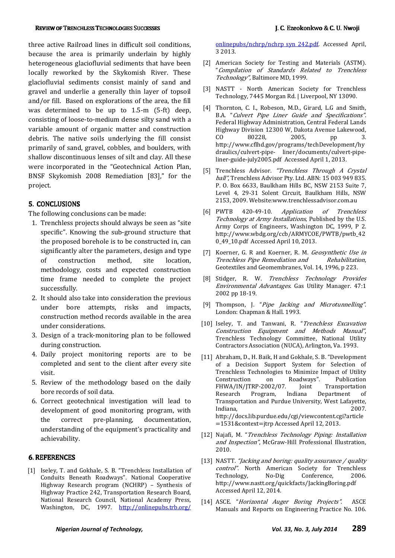#### REVIEW OF TRENCHLESS TECHNOLOGIES SUCCESSES J. C. EZEOKONKWO & C. U. Nwoji

three active Railroad lines in difficult soil conditions, because the area is primarily underlain by highly heterogeneous glaciofluvial sediments that have been locally reworked by the Skykomish River. These glaciofluvial sediments consist mainly of sand and gravel and underlie a generally thin layer of topsoil and/or fill. Based on explorations of the area, the fill was determined to be up to 1.5-m (5-ft) deep, consisting of loose-to-medium dense silty sand with a variable amount of organic matter and construction debris. The native soils underlying the fill consist primarily of sand, gravel, cobbles, and boulders, with shallow discontinuous lenses of silt and clay. All these were incorporated in the "Geotechnical Action Plan, BNSF Skykomish 2008 Remediation [83]," for the project.

## 5. CONCLUSIONS

The following conclusions can be made:

- 1. Trenchless projects should always be seen as "site specific". Knowing the sub-ground structure that the proposed borehole is to be constructed in, can significantly alter the parameters, design and type of construction method, site location, methodology, costs and expected construction time frame needed to complete the project successfully.
- 2. It should also take into consideration the previous under bore attempts, risks and impacts, construction method records available in the area under considerations.
- 3. Design of a track-monitoring plan to be followed during construction.
- 4. Daily project monitoring reports are to be completed and sent to the client after every site visit.
- 5. Review of the methodology based on the daily bore records of soil data.
- 6. Correct geotechnical investigation will lead to development of good monitoring program, with the correct pre-planning, documentation, understanding of the equipment's practicality and achievability.

#### 6. REFERENCES 6. REFERENCES REFERENCES

[1] Iseley, T. and Gokhale, S. B. "Trenchless Installation of Conduits Beneath Roadways". National Cooperative Highway Research program (NCHRP) – Synthesis of Highway Practice 242, Transportation Research Board, National Research Council, National Academy Press, Washington, DC, 1997. http://onlinepubs.trb.org/ onlinepubs/nchrp/nchrp\_syn\_242.pdf. Accessed April, 3 2013.

- [2] American Society for Testing and Materials (ASTM). "Compilation of Standards Related to Trenchless Technology", Baltimore MD, 1999.
- [3] NASTT North American Society for Trenchless Technology, 7445 Morgan Rd. | Liverpool, NY 13090.
- [4] Thornton, C. I., Robeson, M.D., Girard, L.G and Smith, B.A. "Culvert Pipe Liner Guide and Specifications". Federal Highway Administration, Central Federal Lands Highway Division 12300 W, Dakota Avenue Lakewood, CO 80228, 2005, pp 3. http://www.cflhd.gov/programs/techDevelopment/hy draulics/culvert-pipe- liner/documents/culvert-pipeliner-guide-july2005.pdf Accessed April 1, 2013.
- [5] Trenchless Advisor. "Trenchless Through A Crystal ball", Trenchless Advisor Pty. Ltd. ABN: 15 003 949 835. P. O. Box 6633, Baulkham Hills BC, NSW 2153 Suite 7, Level 4, 29-31 Solent Circuit, Baulkham Hills, NSW 2153, 2009. Website:www.trenchlessadvisor.com.au
- [6] PWTB 420-49-10. Application of Trenchless Technology at Army Installations, Published by the U.S. Army Corps of Engineers, Washington DC, 1999, P 2. http://www.wbdg.org/ccb/ARMYCOE/PWTB/pwtb\_42 0\_49\_10.pdf Accessed April 10, 2013.
- [7] Koerner, G. R and Koerner, R. M. Geosynthetic Use in Trenchless Pipe Remediation and Rehabilitation, Geotextiles and Geomembranes, Vol. 14, 1996, p 223.
- [8] Stidger, R. W. Trenchless Technology Provides Environmental Advantages. Gas Utility Manager. 47:1 2002 pp 18-19.
- [9] Thompson, J. "Pipe Jacking and Microtunnelling". London: Chapman & Hall. 1993.
- [10] Iseley, T. and Tanwani, R. "Trenchless Excavation Construction Equipment and Methods Manual", Trenchless Technology Committee, National Utility Contractors Association (NUCA), Arlington, Va. 1993.
- [11] Abraham, D., H. Baik, H and Gokhale, S. B. "Development of a Decision Support System for Selection of Trenchless Technologies to Minimize Impact of Utility Construction on Roadways". Publication FHWA/IN/JTRP-2002/07. Joint Transportation Research Program, Indiana Department of Transportation and Purdue University, West Lafayette, Indiana, 2007. http://docs.lib.purdue.edu/cgi/viewcontent.cgi?article =1531&context=jtrp Accessed April 12, 2013.
- [12] Najafi, M. "Trenchless Technology Piping: Installation and Inspection", McGraw-Hill Professional Illustration, 2010.
- [13] NASTT. "Jacking and boring: quality assurance / quality control". North American Society for Trenchless Technology, No-Dig Conference, 2006. http://www.nastt.org/quickfacts/JackingBoring.pdf Accessed April 12, 2014.
- [14] ASCE. "Horizontal Auger Boring Projects". ASCE Manuals and Reports on Engineering Practice No. 106.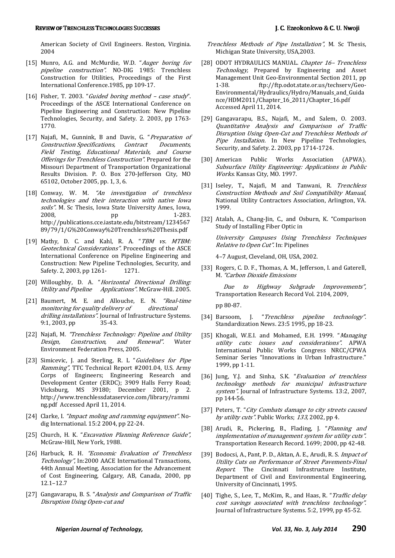American Society of Civil Engineers. Reston, Virginia. 2004

- [15] Munro, A.G. and McMurdie, W.D. "Auger boring for pipeline construction". NO-DIG 1985: Trenchless Construction for Utilities, Proceedings of the First International Conference.1985, pp 109-17.
- [16] Fisher, T. 2003. "Guided boring method case study". Proceedings of the ASCE International Conference on Pipeline Engineering and Construction: New Pipeline Technologies, Security, and Safety. 2. 2003, pp 1763- 1770.
- [17] Najafi, M., Gunnink, B and Davis, G. "Preparation of Construction Specifications, Contract Documents, Field Testing, Educational Materials, and Course Offerings for Trenchless Construction". Prepared for the Missouri Department of Transportation Organizational Results Division. P. O. Box 270-Jefferson City, MO 65102, October 2005, pp. 1, 3, 6.
- [18] Conway, W. M. "An investigation of trenchless technologies and their interaction with native Iowa soils". M. Sc Thesis, Iowa State University Ames, Iowa, 2008, pp 1-283. http://publications.cce.iastate.edu/bitstream/1234567 89/79/1/G%20Conway%20Trenchless%20Thesis.pdf
- [19] Mathy, D. C. and Kahl, R. A. "TBM vs. MTBM: Geotechnical Considerations". Proceedings of the ASCE International Conference on Pipeline Engineering and Construction: New Pipeline Technologies, Security, and Safety. 2, 2003, pp 1261-<br>1271.
- [20] Willoughby, D. A. "Horizontal Directional Drilling: Utility and Pipeline Applications". McGraw-Hill. 2005.
- [21] Baumert, M. E. and Allouche, E. N. "Real-time monitoring for quality delivery of directional drilling installations". Journal of Infrastructure Systems. 9:1, 2003, pp 35-43.
- [22] Najafi, M. "Trenchless Technology: Pipeline and Utility Design, Construction, and Renewal". Water Environment Federation Press, 2005.
- [23] Simicevic, J. and Sterling, R. L "Guidelines for Pipe Ramming", TTC Technical Report #2001.04, U.S. Army Corps of Engineers; Engineering Research and Development Center (ERDC); 3909 Halls Ferry Road; Vicksburg, MS 39180; December 2001, p 2. http://www.trenchlessdataservice.com/library/rammi ng.pdf Accessed April 11, 2014.
- [24] Clarke, I. "Impact moling and ramming equipment". Nodig International. 15:2 2004, pp 22-24.
- [25] Church, H. K. "Excavation Planning Reference Guide", McGraw-Hill, New York, 1988.
- [26] Harbuck, R. H. "Economic Evaluation of Trenchless Technology", In:2000 AACE International Transactions, 44th Annual Meeting, Association for the Advancement of Cost Engineering, Calgary, AB, Canada, 2000, pp 12.1–12.7
- [27] Gangavarapu, B. S. "Analysis and Comparison of Traffic Disruption Using Open-cut and
- Trenchless Methods of Pipe Installation", M. Sc Thesis, Michigan State University, USA,2003.
- [28] ODOT HYDRAULICS MANUAL. Chapter 16- Trenchless Technology, Prepared by Engineering and Asset Management Unit Geo-Environmental Section 2011, pp 1-38. ftp://ftp.odot.state.or.us/techserv/Geo-Environmental/Hydraulics/Hydro/Manuals\_and\_Guida nce/HDM2011/Chapter\_16\_2011/Chapter\_16.pdf Accessed April 11, 2014.
- [29] Gangavarapu, B.S., Najafi, M., and Salem, O. 2003. Quantitative Analysis and Comparison of Traffic Disruption Using Open-Cut and Trenchless Methods of Pipe Installation. In New Pipeline Technologies, Security, and Safety. 2. 2003, pp 1714-1724.
- [30] American Public Works Association (APWA). Subsurface Utility Engineering: Applications in Public Works. Kansas City, MO. 1997.
- [31] Iseley, T., Najafi, M and Tanwani, R. Trenchless Construction Methods and Soil Compatibility Manual, National Utility Contractors Association, Arlington, VA. 1999.
- [32] Atalah, A., Chang-Jin, C., and Osburn, K. "Comparison Study of Installing Fiber Optic in

 University Campuses Using Trenchless Techniques Relative to Open Cut". In: Pipelines

4–7 August, Cleveland, OH, USA, 2002.

[33] Rogers, C. D. F., Thomas, A. M., Jefferson, I. and Gaterell, M. "Carbon Dioxide Emissions

 Due to Highway Subgrade Improvements", Transportation Research Record Vol. 2104, 2009,

pp 80-87.

- [34] Barsoom, J. "Trenchless pipeline technology". Standardization News. 23:5 1995, pp 18-23.
- [35] Khogali, W.E.I. and Mohamed, E.H. 1999. "Managing utility cuts: issues and considerations". APWA International Public Works Congress NRCC/CPWA Seminar Series "Innovations in Urban Infrastructure." 1999, pp 1-11.
- [36] Jung, Y.J. and Sinha, S.K. "Evaluation of trenchless technology methods for municipal infrastructure system". Journal of Infrastructure Systems. 13:2, 2007, pp 144-56.
- [37] Peters, T. "City Combats damage to city streets caused by utility cuts". Public Works; 133, 2002, pp 4.
- [38] Arudi, R., Pickering, B., Flading, J. "Planning and implementation of management system for utility cuts". Transportation Research Record. 1699; 2000, pp 42-48.
- [39] Bodocsi, A., Pant, P. D., Aktan, A. E., Arudi, R. S. Impact of Utility Cuts on Performance of Street Pavements-Final Report. The Cincinnati Infrastructure Institute, Department of Civil and Environmental Engineering, University of Cincinnati, 1995.
- [40] Tighe, S., Lee, T., McKim, R., and Haas, R. "Traffic delay cost savings associated with trenchless technology". Journal of Infrastructure Systems. 5:2, 1999, pp 45-52.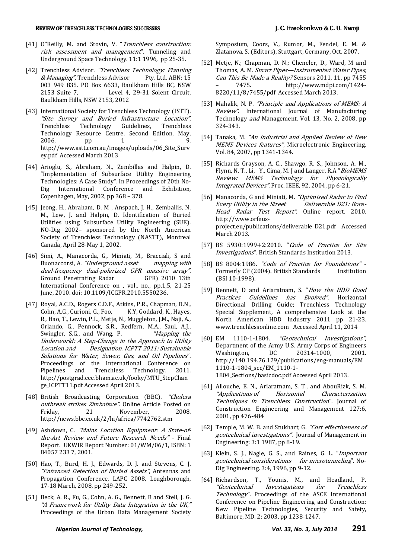- [41] O"Reilly, M. and Stovin, V. "Trenchless construction: risk assessment and management". Tunneling and Underground Space Technology. 11:1 1996, pp 25-35.
- [42] Trenchless Advisor. "Trenchless Technology: Planning & Managing", Trenchless Advisor Pty. Ltd. ABN: 15 003 949 835. PO Box 6633, Baulkham Hills BC, NSW 2153 Suite 7, Level 4, 29-31 Solent Circuit, Baulkham Hills, NSW 2153, 2012
- [43] International Society for Trenchless Technology (ISTT). "Site Survey and Buried Infrastructure Location", Trenchless Technology Guidelines, Trenchless Technology Resource Centre. Second Edition, May, 2006, pp 1 – 9. http://www.astt.com.au/images/uploads/06\_Site\_Surv ey.pdf Accessed March 2013
- [44] Arioglu, S., Abraham, N., Zembillas and Halpin, D. "Implementation of Subsurface Utility Engineering Technologies: A Case Study". In Proceedings of 20th No-Dig International Conference and Exhibition, Copenhagen, May, 2002, pp 368 – 378.
- [45] Jeong, H., Abraham, D. M , Anspach, J. H., Zemballis, N. M., Lew, J. and Halpin, D. Identification of Buried Utilities using Subsurface Utility Engineering (SUE). NO-Dig 2002– sponsored by the North American Society of Trenchless Technology (NASTT), Montreal Canada, April 28-May 1, 2002.
- [46] Simi, A., Manacorda, G., Miniati, M., Bracciali, S and Buonaccorsi, A. "Underground asset mapping with dual-frequency dual-polarized GPR massive array". Ground Penetrating Radar GPR) 2010 13th International Conference on , vol., no., pp.1,5, 21-25 June, 2010. doi: 10.1109/ICGPR.2010.5550236.
- [47] Royal, A.C.D., Rogers C.D.F., Atkins, P.R., Chapman, D.N., Cohn, A.G., Curioni, G., Foo, K.Y, Goddard, K., Hayes, R., Hao, T., Lewin, P.L., Metje, N., Muggleton, J.M., Naji, A., Orlando, G., Pennock, S.R., Redfern, M.A., Saul, A.J., Swingler, S.G., and Wang, P. "Mapping the Underworld: A Step-Change in the Approach to Utility Location and Designation. ICPTT 2011: Sustainable Solutions for Water, Sewer, Gas, and Oil Pipelines". Proceedings of the International Conference on Pipelines and Trenchless Technology. 2011. http://postgrad.eee.bham.ac.uk/fooky/MTU\_StepChan ge\_ICPTT11.pdf Accessed April 2013.
- [48] British Broadcasting Corporation (BBC). "Cholera outbreak strikes Zimbabwe". Online Article Posted on Friday, 21 November, 2008. http://news.bbc.co.uk/2/hi/africa/7742762.stm
- [49] Ashdown, C. "Mains Location Equipment: A State-ofthe-Art Review and Future Research Needs" - Final Report. UKWIR Report Number: 01/WM/06/1, ISBN: 1 84057 233 7, 2001.
- [50] Hao, T., Burd, H. J., Edwards, D. J. and Stevens, C. J. "Enhanced Detection of Buried Assets", Antennas and Propagation Conference, LAPC 2008, Loughborough, 17-18 March, 2008, pp 249-252.
- [51] Beck, A. R., Fu, G., Cohn, A. G., Bennett, B and Stell, J. G. "A Framework for Utility Data Integration in the UK," Proceedings of the Urban Data Management Society

Symposium, Coors, V., Rumor, M., Fendel, E. M. & Zlatanova, S. (Editors), Stuttgart, Germany, Oct. 2007.

- [52] Metje, N.; Chapman, D. N.; Cheneler, D., Ward, M and Thomas, A. M. Smart Pipes—Instrumented Water Pipes, Can This Be Made a Reality? Sensors 2011, 11, pp 7455 – 7475. http://www.mdpi.com/1424- 8220/11/8/7455/pdf Accessed March 2013.
- [53] Mahalik, N. P. "Principle and Applications of MEMS: A Review". International Journal of Manufacturing Technology and Management. Vol. 13, No. 2, 2008, pp 324-343.
- [54] Tanaka, M. "An Industrial and Applied Review of New MEMS Devices features", Microelectronic Engineering. Vol. 84, 2007, pp 1341-1344.
- [55] Richards Grayson, A. C., Shawgo, R. S., Johnson, A. M., Flynn, N. T., Li, Y., Cima, M. J and Langer, R.A "BioMEMS" Review: MEMS Technology for Physiologically Integrated Devices", Proc. IEEE, 92, 2004, pp 6-21.
- [56] Manacorda, G and Miniati, M. "Optimised Radar to Find Every Utility in the Street Deliverable D21: Bore-Head Radar Test Report". Online report, 2010. http://www.orfeusproject.eu/publications/deliverable\_D21.pdf Accessed March 2013.
- [57] BS 5930:1999+2:2010. "Code of Practice for Site Investigations". British Standards Institution 2013.
- [58] BS 8004:1986. "Code of Practice for Foundations" -Formerly CP (2004). British Standards Institution (BSI 10-1998).
- [59] Bennett, D and Ariaratnam, S. "How the HDD Good Practices Guidelines has Evolved". Horizontal Directional Drilling Guide; Trenchless Technology Special Supplement, A comprehensive Look at the North American HDD Industry 2011 pp 21-23. www.trenchlessonline.com Accessed April 11, 2014
- [60] EM 1110-1-1804. "Geotechnical Investigations", Department of the Army U.S. Army Corps of Engineers Washington, DC 20314-1000, 2001. http://140.194.76.129/publications/eng-manuals/EM 1110-1-1804\_sec/EM\_1110-1- 1804\_Sections/basicdoc.pdf Accessed April 2013.
- [61] Allouche, E. N., Ariaratnam, S. T., and AbouRizk, S. M. "Applications of Horizontal Characterization Techniques in Trenchless Construction". Journal of Construction Engineering and Management 127:6, 2001, pp 476-484
- [62] Temple, M. W. B. and Stukhart, G. "Cost effectiveness of geotechnical investigations". Journal of Management in Engineering: 3:1 1987, pp 8-19.
- [63] Klein, S. J., Nagle, G. S., and Raines, G. L. "Important geotechnical considerations for microtunneling". No-Dig Engineering. 3:4, 1996, pp 9-12.
- [64] Richardson, T., Younis, M., and Headland, P. "Geotechnical Investigations for Trenchless Technology". Proceedings of the ASCE International Conference on Pipeline Engineering and Construction: New Pipeline Technologies, Security and Safety, Baltimore, MD. 2: 2003, pp 1238-1247.